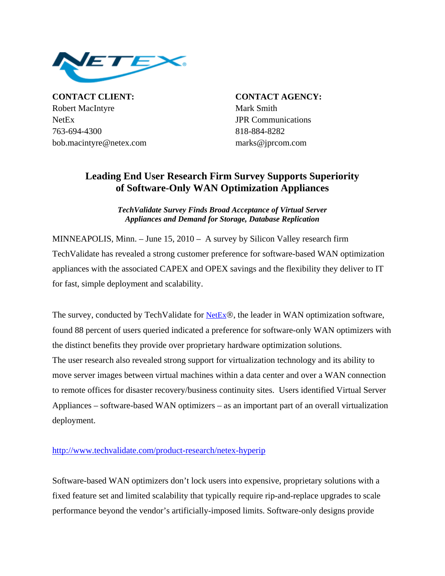

**CONTACT CLIENT: CONTACT AGENCY:** Robert MacIntyre Mark Smith NetEx JPR Communications 763-694-4300 818-884-8282 bob.macintyre@netex.com marks@jprcom.com

## **Leading End User Research Firm Survey Supports Superiority of Software-Only WAN Optimization Appliances**

*TechValidate Survey Finds Broad Acceptance of Virtual Server Appliances and Demand for Storage, Database Replication*

MINNEAPOLIS, Minn. – June 15, 2010 – A survey by Silicon Valley research firm TechValidate has revealed a strong customer preference for software-based WAN optimization appliances with the associated CAPEX and OPEX savings and the flexibility they deliver to IT for fast, simple deployment and scalability.

The survey, conducted by TechValidate for [NetEx](http://www.netex.com/)®, the leader in WAN optimization software, found 88 percent of users queried indicated a preference for software-only WAN optimizers with the distinct benefits they provide over proprietary hardware optimization solutions. The user research also revealed strong support for virtualization technology and its ability to move server images between virtual machines within a data center and over a WAN connection to remote offices for disaster recovery/business continuity sites. Users identified Virtual Server Appliances – software-based WAN optimizers – as an important part of an overall virtualization deployment.

## <http://www.techvalidate.com/product-research/netex-hyperip>

Software-based WAN optimizers don't lock users into expensive, proprietary solutions with a fixed feature set and limited scalability that typically require rip-and-replace upgrades to scale performance beyond the vendor's artificially-imposed limits. Software-only designs provide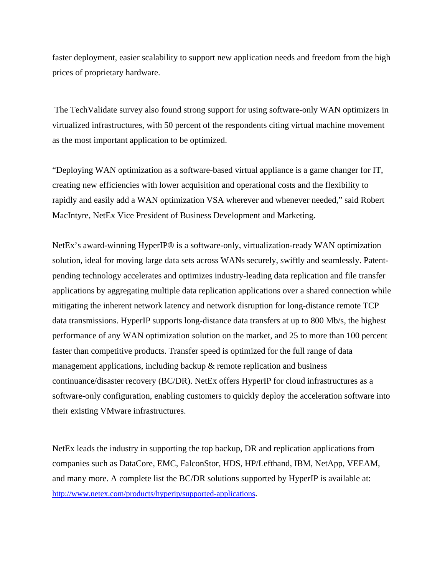faster deployment, easier scalability to support new application needs and freedom from the high prices of proprietary hardware.

 The TechValidate survey also found strong support for using software-only WAN optimizers in virtualized infrastructures, with 50 percent of the respondents citing virtual machine movement as the most important application to be optimized.

"Deploying WAN optimization as a software-based virtual appliance is a game changer for IT, creating new efficiencies with lower acquisition and operational costs and the flexibility to rapidly and easily add a WAN optimization VSA wherever and whenever needed," said Robert MacIntyre, NetEx Vice President of Business Development and Marketing.

NetEx's award-winning HyperIP® is a software-only, virtualization-ready WAN optimization solution, ideal for moving large data sets across WANs securely, swiftly and seamlessly. Patentpending technology accelerates and optimizes industry-leading data replication and file transfer applications by aggregating multiple data replication applications over a shared connection while mitigating the inherent network latency and network disruption for long-distance remote TCP data transmissions. HyperIP supports long-distance data transfers at up to 800 Mb/s, the highest performance of any WAN optimization solution on the market, and 25 to more than 100 percent faster than competitive products. Transfer speed is optimized for the full range of data management applications, including backup & remote replication and business continuance/disaster recovery (BC/DR). NetEx offers HyperIP for cloud infrastructures as a software-only configuration, enabling customers to quickly deploy the acceleration software into their existing VMware infrastructures.

NetEx leads the industry in supporting the top backup, DR and replication applications from companies such as DataCore, EMC, FalconStor, HDS, HP/Lefthand, IBM, NetApp, VEEAM, and many more. A complete list the BC/DR solutions supported by HyperIP is available at: <http://www.netex.com/products/hyperip/supported-applications>.